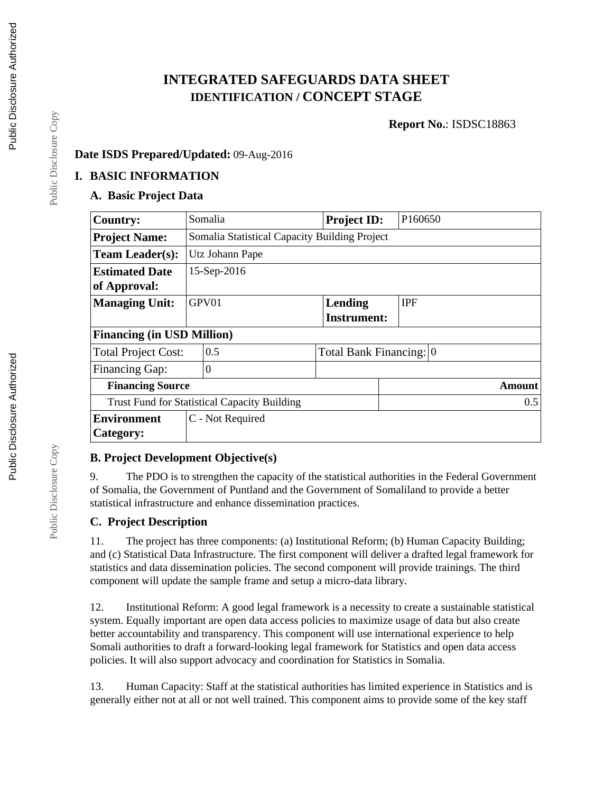## **INTEGRATED SAFEGUARDS DATA SHEET IDENTIFICATION / CONCEPT STAGE**

**Report No.**: ISDSC18863

#### **Date ISDS Prepared/Updated:** 09-Aug-2016

#### **I. BASIC INFORMATION**

### **A. Basic Project Data**

| <b>Country:</b>                                     | Somalia                                       |                  | <b>Project ID:</b>      | P160650    |  |  |  |
|-----------------------------------------------------|-----------------------------------------------|------------------|-------------------------|------------|--|--|--|
| <b>Project Name:</b>                                | Somalia Statistical Capacity Building Project |                  |                         |            |  |  |  |
| <b>Team Leader(s):</b>                              | Utz Johann Pape                               |                  |                         |            |  |  |  |
| <b>Estimated Date</b>                               | 15-Sep-2016                                   |                  |                         |            |  |  |  |
| of Approval:                                        |                                               |                  |                         |            |  |  |  |
| <b>Managing Unit:</b>                               |                                               | GPV01            | Lending                 | <b>IPF</b> |  |  |  |
|                                                     |                                               |                  | <b>Instrument:</b>      |            |  |  |  |
| <b>Financing (in USD Million)</b>                   |                                               |                  |                         |            |  |  |  |
| <b>Total Project Cost:</b>                          |                                               | 0.5              | Total Bank Financing: 0 |            |  |  |  |
| <b>Financing Gap:</b>                               |                                               | $\boldsymbol{0}$ |                         |            |  |  |  |
| <b>Financing Source</b>                             | Amount                                        |                  |                         |            |  |  |  |
| <b>Trust Fund for Statistical Capacity Building</b> |                                               |                  |                         | 0.5        |  |  |  |
| <b>Environment</b>                                  |                                               | C - Not Required |                         |            |  |  |  |
| Category:                                           |                                               |                  |                         |            |  |  |  |

### **B. Project Development Objective(s)**

9. The PDO is to strengthen the capacity of the statistical authorities in the Federal Government of Somalia, the Government of Puntland and the Government of Somaliland to provide a better statistical infrastructure and enhance dissemination practices.

#### **C. Project Description**

11. The project has three components: (a) Institutional Reform; (b) Human Capacity Building; and (c) Statistical Data Infrastructure. The first component will deliver a drafted legal framework for statistics and data dissemination policies. The second component will provide trainings. The third component will update the sample frame and setup a micro-data library.

12. Institutional Reform: A good legal framework is a necessity to create a sustainable statistical system. Equally important are open data access policies to maximize usage of data but also create better accountability and transparency. This component will use international experience to help Somali authorities to draft a forward-looking legal framework for Statistics and open data access policies. It will also support advocacy and coordination for Statistics in Somalia.

13. Human Capacity: Staff at the statistical authorities has limited experience in Statistics and is generally either not at all or not well trained. This component aims to provide some of the key staff

Public Disclosure Copy

Public Disclosure Copy

Public Disclosure Copy

Public Disclosure Copy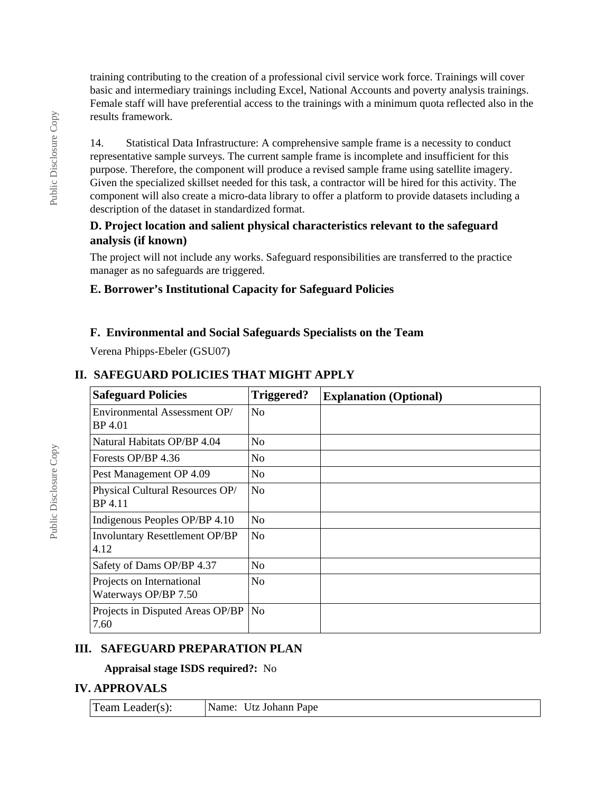training contributing to the creation of a professional civil service work force. Trainings will cover basic and intermediary trainings including Excel, National Accounts and poverty analysis trainings. Female staff will have preferential access to the trainings with a minimum quota reflected also in the results framework.

14. Statistical Data Infrastructure: A comprehensive sample frame is a necessity to conduct representative sample surveys. The current sample frame is incomplete and insufficient for this purpose. Therefore, the component will produce a revised sample frame using satellite imagery. Given the specialized skillset needed for this task, a contractor will be hired for this activity. The component will also create a micro-data library to offer a platform to provide datasets including a description of the dataset in standardized format.

#### **D. Project location and salient physical characteristics relevant to the safeguard analysis (if known)**

The project will not include any works. Safeguard responsibilities are transferred to the practice manager as no safeguards are triggered.

### **E. Borrower's Institutional Capacity for Safeguard Policies**

### **F. Environmental and Social Safeguards Specialists on the Team**

Verena Phipps-Ebeler (GSU07)

# **II. SAFEGUARD POLICIES THAT MIGHT APPLY**

| <b>Safeguard Policies</b>                         | Triggered?     | <b>Explanation (Optional)</b> |
|---------------------------------------------------|----------------|-------------------------------|
| Environmental Assessment OP/<br>BP 4.01           | N <sub>0</sub> |                               |
| Natural Habitats OP/BP 4.04                       | N <sub>0</sub> |                               |
| Forests OP/BP 4.36                                | N <sub>0</sub> |                               |
| Pest Management OP 4.09                           | N <sub>0</sub> |                               |
| Physical Cultural Resources OP/<br>BP 4.11        | N <sub>0</sub> |                               |
| Indigenous Peoples OP/BP 4.10                     | N <sub>0</sub> |                               |
| <b>Involuntary Resettlement OP/BP</b><br>4.12     | N <sub>0</sub> |                               |
| Safety of Dams OP/BP 4.37                         | N <sub>0</sub> |                               |
| Projects on International<br>Waterways OP/BP 7.50 | N <sub>0</sub> |                               |
| Projects in Disputed Areas OP/BP<br>7.60          | N <sub>0</sub> |                               |

### **III. SAFEGUARD PREPARATION PLAN**

**Appraisal stage ISDS required?:** No

### **IV. APPROVALS**

| $\Gamma$ eam Leader(s): | Name: Utz Johann Pape |
|-------------------------|-----------------------|
|-------------------------|-----------------------|